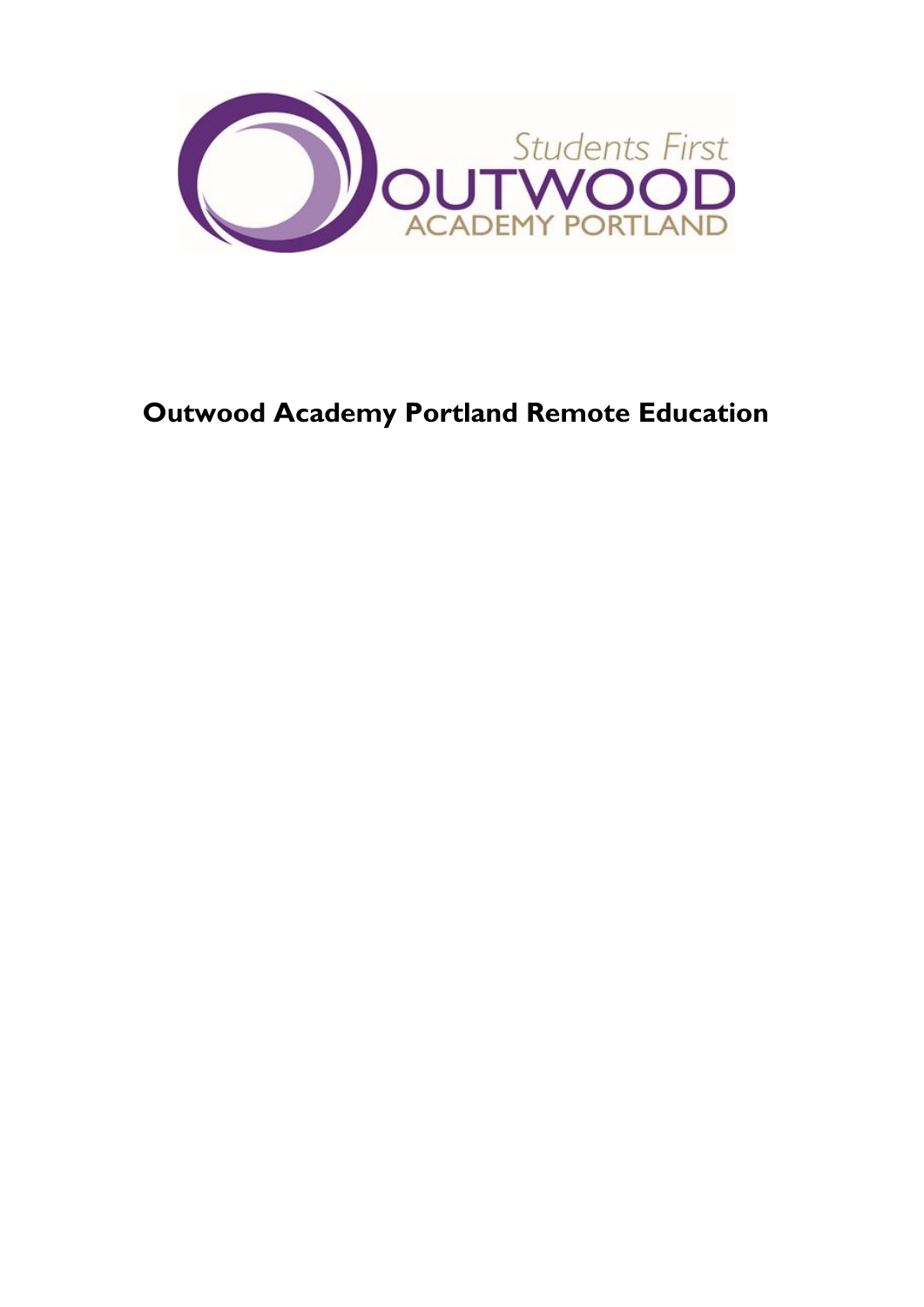

# **Outwood Academy Portland Remote Education**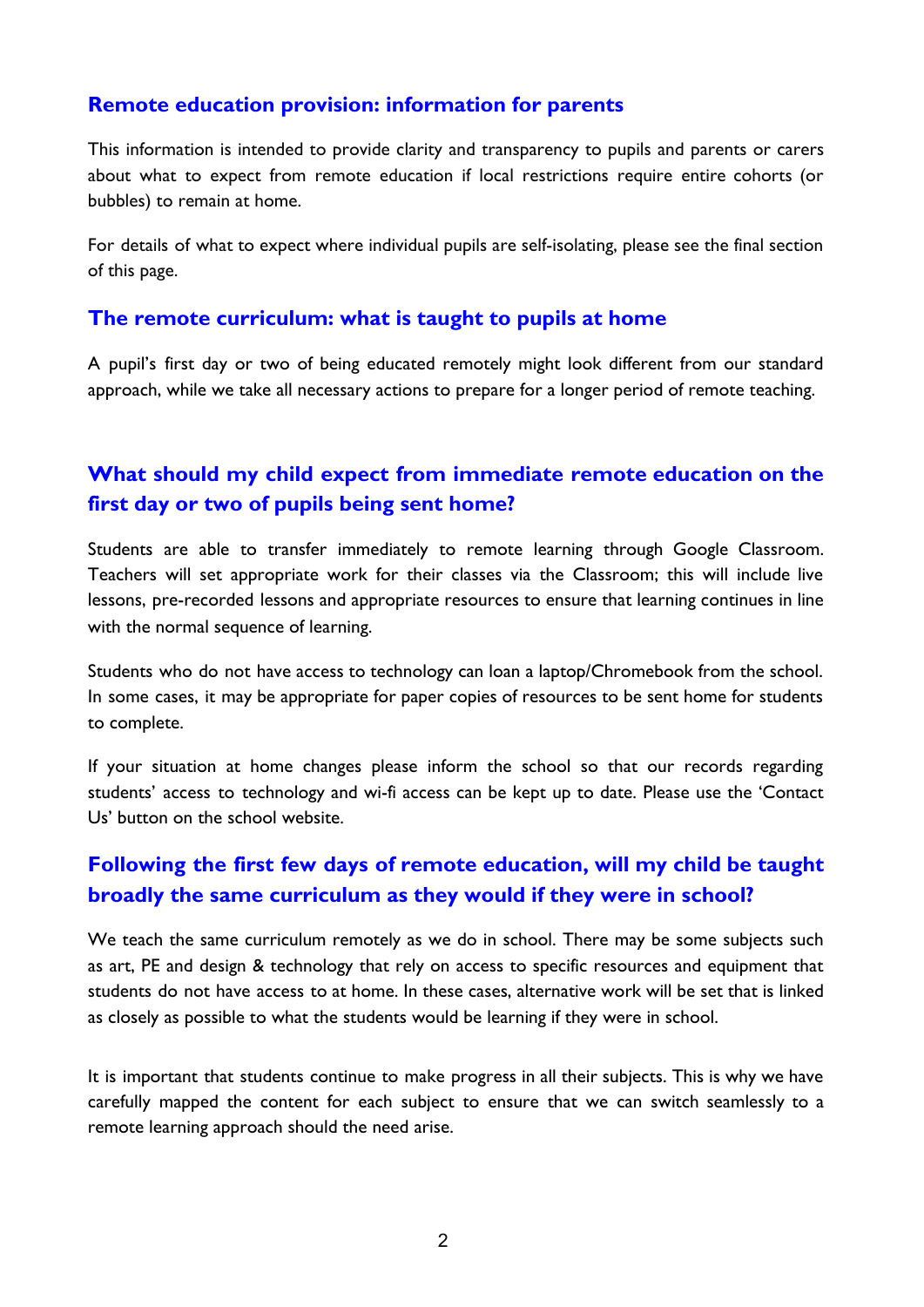#### **Remote education provision: information for parents**

This information is intended to provide clarity and transparency to pupils and parents or carers about what to expect from remote education if local restrictions require entire cohorts (or bubbles) to remain at home.

For details of what to expect where individual pupils are self-isolating, please see the final section of this page.

#### **The remote curriculum: what is taught to pupils at home**

A pupil's first day or two of being educated remotely might look different from our standard approach, while we take all necessary actions to prepare for a longer period of remote teaching.

# **What should my child expect from immediate remote education on the first day or two of pupils being sent home?**

Students are able to transfer immediately to remote learning through Google Classroom. Teachers will set appropriate work for their classes via the Classroom; this will include live lessons, pre-recorded lessons and appropriate resources to ensure that learning continues in line with the normal sequence of learning.

Students who do not have access to technology can loan a laptop/Chromebook from the school. In some cases, it may be appropriate for paper copies of resources to be sent home for students to complete.

If your situation at home changes please inform the school so that our records regarding students' access to technology and wi-fi access can be kept up to date. Please use the 'Contact Us' button on the school website.

# **Following the first few days of remote education, will my child be taught broadly the same curriculum as they would if they were in school?**

We teach the same curriculum remotely as we do in school. There may be some subjects such as art, PE and design & technology that rely on access to specific resources and equipment that students do not have access to at home. In these cases, alternative work will be set that is linked as closely as possible to what the students would be learning if they were in school.

It is important that students continue to make progress in all their subjects. This is why we have carefully mapped the content for each subject to ensure that we can switch seamlessly to a remote learning approach should the need arise.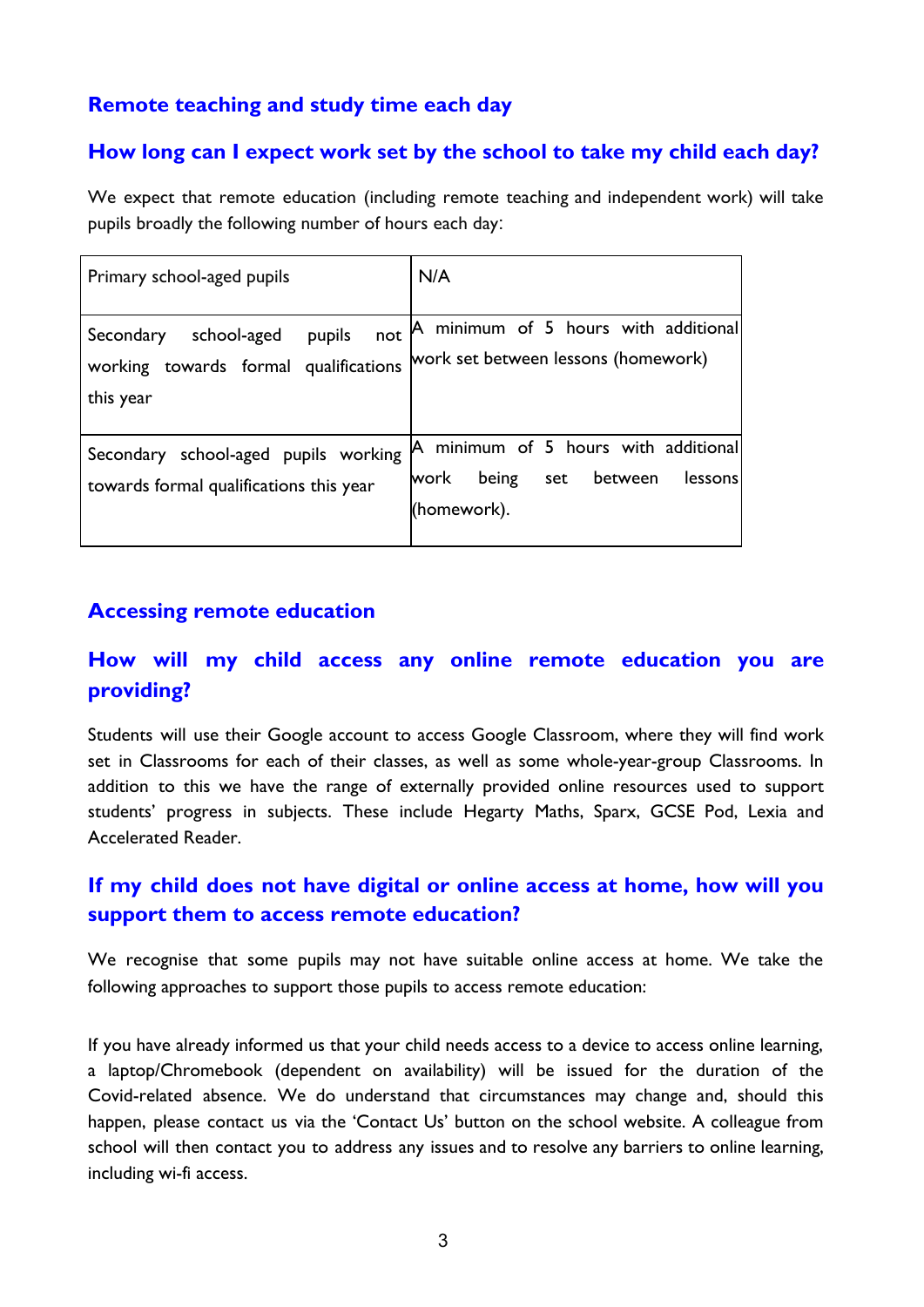### **Remote teaching and study time each day**

### **How long can I expect work set by the school to take my child each day?**

We expect that remote education (including remote teaching and independent work) will take pupils broadly the following number of hours each day:

| Primary school-aged pupils                                                                      | N/A                                                                                               |
|-------------------------------------------------------------------------------------------------|---------------------------------------------------------------------------------------------------|
| school-aged<br>pupils<br>not<br>Secondary<br>working towards formal qualifications<br>this year | A minimum of 5 hours with additional<br>work set between lessons (homework)                       |
| Secondary school-aged pupils working<br>towards formal qualifications this year                 | A minimum of 5 hours with additional<br>work<br>being<br>between<br>set<br>lessons<br>(homework). |

### **Accessing remote education**

# **How will my child access any online remote education you are providing?**

Students will use their Google account to access Google Classroom, where they will find work set in Classrooms for each of their classes, as well as some whole-year-group Classrooms. In addition to this we have the range of externally provided online resources used to support students' progress in subjects. These include Hegarty Maths, Sparx, GCSE Pod, Lexia and Accelerated Reader.

# **If my child does not have digital or online access at home, how will you support them to access remote education?**

We recognise that some pupils may not have suitable online access at home. We take the following approaches to support those pupils to access remote education:

If you have already informed us that your child needs access to a device to access online learning, a laptop/Chromebook (dependent on availability) will be issued for the duration of the Covid-related absence. We do understand that circumstances may change and, should this happen, please contact us via the 'Contact Us' button on the school website. A colleague from school will then contact you to address any issues and to resolve any barriers to online learning, including wi-fi access.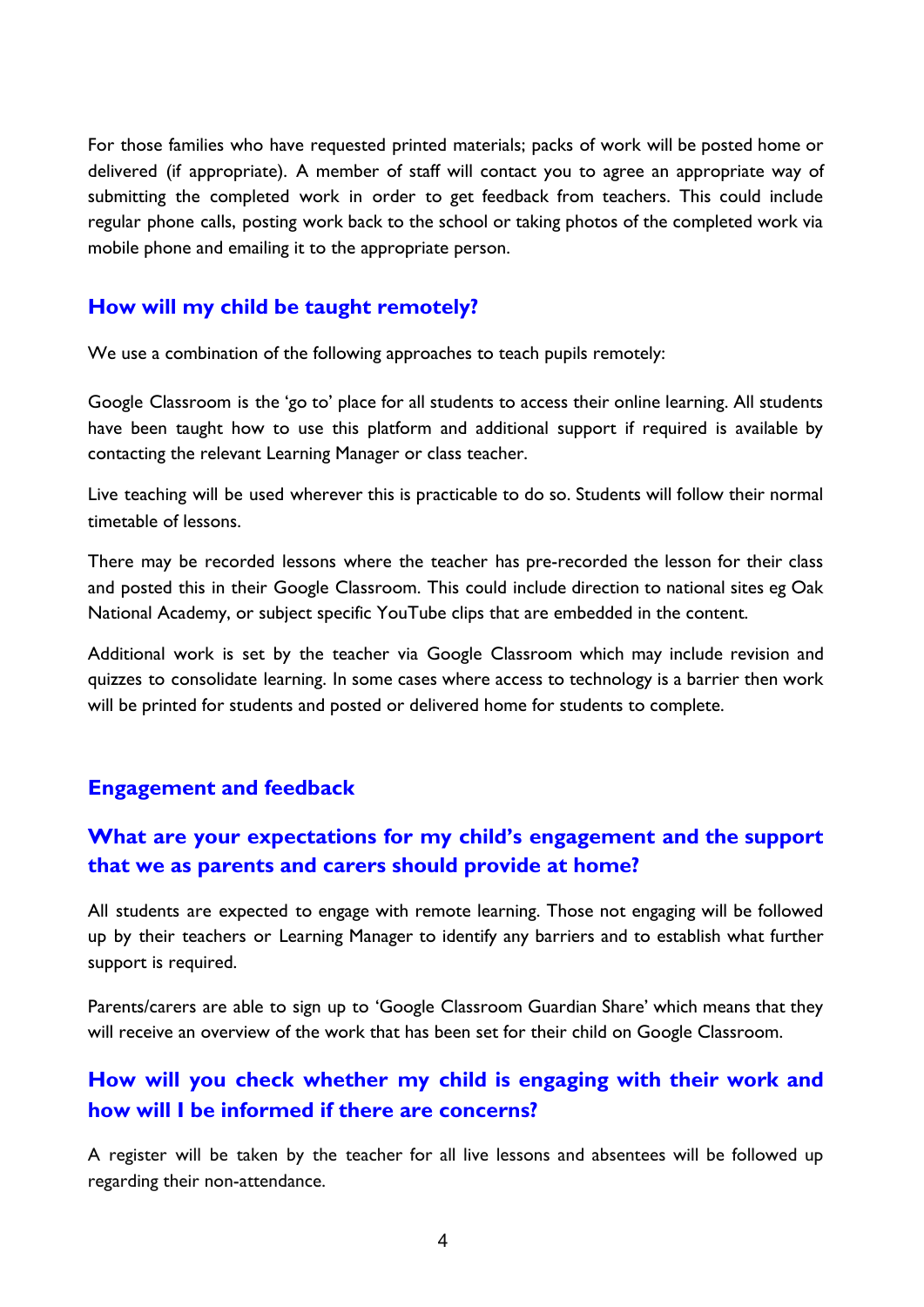For those families who have requested printed materials; packs of work will be posted home or delivered (if appropriate). A member of staff will contact you to agree an appropriate way of submitting the completed work in order to get feedback from teachers. This could include regular phone calls, posting work back to the school or taking photos of the completed work via mobile phone and emailing it to the appropriate person.

#### **How will my child be taught remotely?**

We use a combination of the following approaches to teach pupils remotely:

Google Classroom is the 'go to' place for all students to access their online learning. All students have been taught how to use this platform and additional support if required is available by contacting the relevant Learning Manager or class teacher.

Live teaching will be used wherever this is practicable to do so. Students will follow their normal timetable of lessons.

There may be recorded lessons where the teacher has pre-recorded the lesson for their class and posted this in their Google Classroom. This could include direction to national sites eg Oak National Academy, or subject specific YouTube clips that are embedded in the content.

Additional work is set by the teacher via Google Classroom which may include revision and quizzes to consolidate learning. In some cases where access to technology is a barrier then work will be printed for students and posted or delivered home for students to complete.

#### **Engagement and feedback**

### **What are your expectations for my child's engagement and the support that we as parents and carers should provide at home?**

All students are expected to engage with remote learning. Those not engaging will be followed up by their teachers or Learning Manager to identify any barriers and to establish what further support is required.

Parents/carers are able to sign up to 'Google Classroom Guardian Share' which means that they will receive an overview of the work that has been set for their child on Google Classroom.

### **How will you check whether my child is engaging with their work and how will I be informed if there are concerns?**

A register will be taken by the teacher for all live lessons and absentees will be followed up regarding their non-attendance.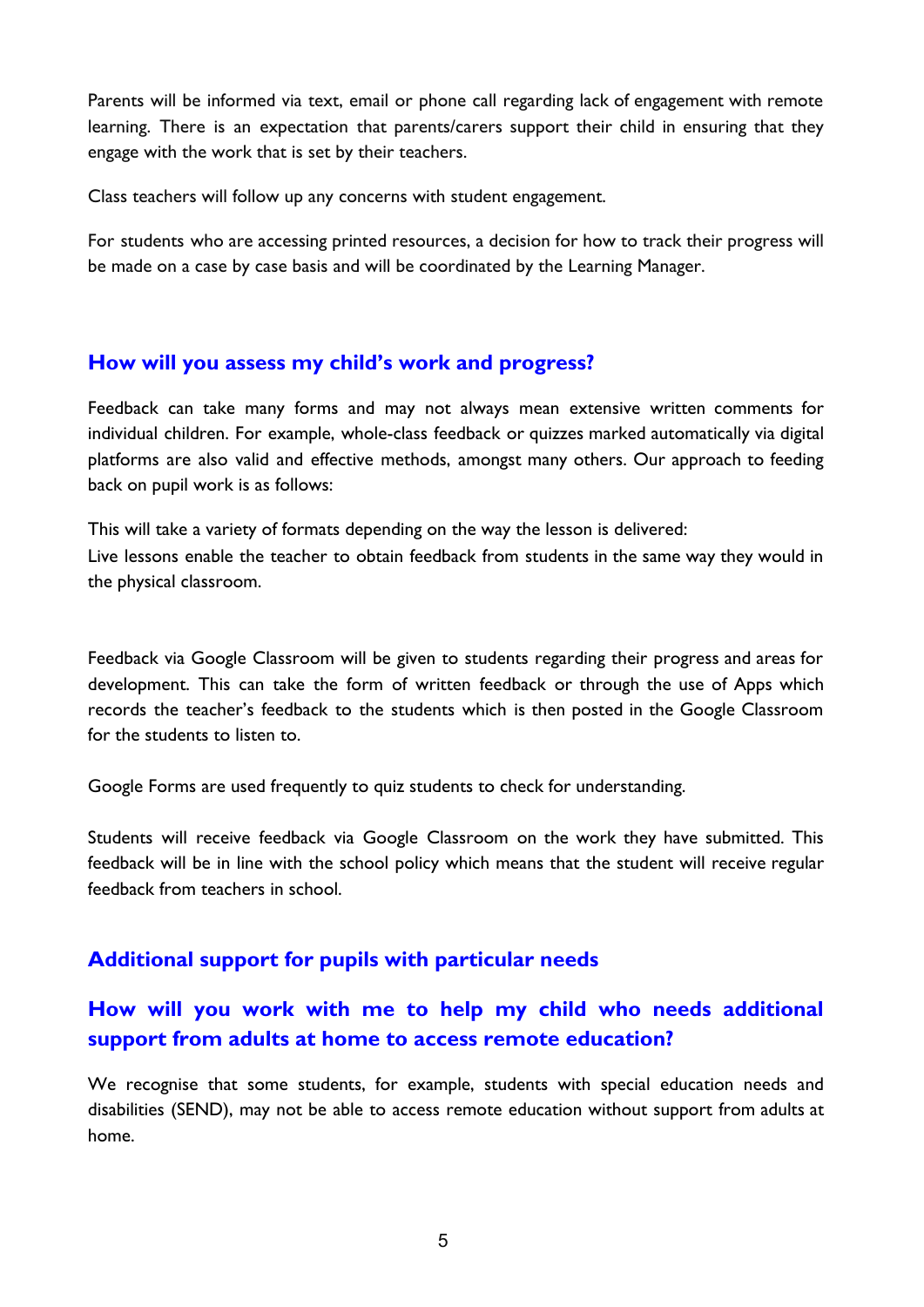Parents will be informed via text, email or phone call regarding lack of engagement with remote learning. There is an expectation that parents/carers support their child in ensuring that they engage with the work that is set by their teachers.

Class teachers will follow up any concerns with student engagement.

For students who are accessing printed resources, a decision for how to track their progress will be made on a case by case basis and will be coordinated by the Learning Manager.

#### **How will you assess my child's work and progress?**

Feedback can take many forms and may not always mean extensive written comments for individual children. For example, whole-class feedback or quizzes marked automatically via digital platforms are also valid and effective methods, amongst many others. Our approach to feeding back on pupil work is as follows:

This will take a variety of formats depending on the way the lesson is delivered: Live lessons enable the teacher to obtain feedback from students in the same way they would in the physical classroom.

Feedback via Google Classroom will be given to students regarding their progress and areas for development. This can take the form of written feedback or through the use of Apps which records the teacher's feedback to the students which is then posted in the Google Classroom for the students to listen to.

Google Forms are used frequently to quiz students to check for understanding.

Students will receive feedback via Google Classroom on the work they have submitted. This feedback will be in line with the school policy which means that the student will receive regular feedback from teachers in school.

### **Additional support for pupils with particular needs**

# **How will you work with me to help my child who needs additional support from adults at home to access remote education?**

We recognise that some students, for example, students with special education needs and disabilities (SEND), may not be able to access remote education without support from adults at home.